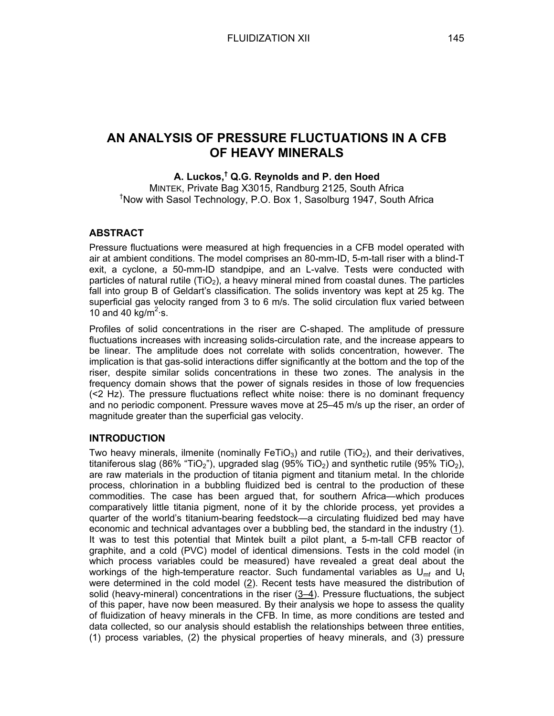# **AN ANALYSIS OF PRESSURE FLUCTUATIONS IN A CFB OF HEAVY MINERALS**

## **A. Luckos,† Q.G. Reynolds and P. den Hoed**

MINTEK, Private Bag X3015, Randburg 2125, South Africa † Now with Sasol Technology, P.O. Box 1, Sasolburg 1947, South Africa

# **ABSTRACT**

Pressure fluctuations were measured at high frequencies in a CFB model operated with air at ambient conditions. The model comprises an 80-mm-ID, 5-m-tall riser with a blind-T exit, a cyclone, a 50-mm-ID standpipe, and an L-valve. Tests were conducted with particles of natural rutile  $(TiO<sub>2</sub>)$ , a heavy mineral mined from coastal dunes. The particles fall into group B of Geldart's classification. The solids inventory was kept at 25 kg. The superficial gas velocity ranged from 3 to 6 m/s. The solid circulation flux varied between 10 and 40  $kg/m^2$  s.

Profiles of solid concentrations in the riser are C-shaped. The amplitude of pressure fluctuations increases with increasing solids-circulation rate, and the increase appears to be linear. The amplitude does not correlate with solids concentration, however. The implication is that gas-solid interactions differ significantly at the bottom and the top of the riser, despite similar solids concentrations in these two zones. The analysis in the frequency domain shows that the power of signals resides in those of low frequencies (<2 Hz). The pressure fluctuations reflect white noise: there is no dominant frequency and no periodic component. Pressure waves move at 25–45 m/s up the riser, an order of magnitude greater than the superficial gas velocity.

# **INTRODUCTION**

Two heavy minerals, ilmenite (nominally FeTiO<sub>3</sub>) and rutile (TiO<sub>2</sub>), and their derivatives, titaniferous slag (86% "TiO<sub>2</sub>"), upgraded slag (95% TiO<sub>2</sub>) and synthetic rutile (95% TiO<sub>2</sub>), are raw materials in the production of titania pigment and titanium metal. In the chloride process, chlorination in a bubbling fluidized bed is central to the production of these commodities. The case has been argued that, for southern Africa—which produces comparatively little titania pigment, none of it by the chloride process, yet provides a quarter of the world's titanium-bearing feedstock—a circulating fluidized bed may have economic and technical advantages over a bubbling bed, the standard in the industry (1). It was to test this potential that Mintek built a pilot plant, a 5-m-tall CFB reactor of graphite, and a cold (PVC) model of identical dimensions. Tests in the cold model (in which process variables could be measured) have revealed a great deal about the workings of the high-temperature reactor. Such fundamental variables as  $U_{mf}$  and  $U_f$ were determined in the cold model (2). Recent tests have measured the distribution of solid (heavy-mineral) concentrations in the riser (3–4). Pressure fluctuations, the subject of this paper, have now been measured. By their analysis we hope to assess the quality of fluidization of heavy minerals in the CFB. In time, as more conditions are tested and data collected, so our analysis should establish the relationships between three entities, (1) process variables, (2) the physical properties of heavy minerals, and (3) pressure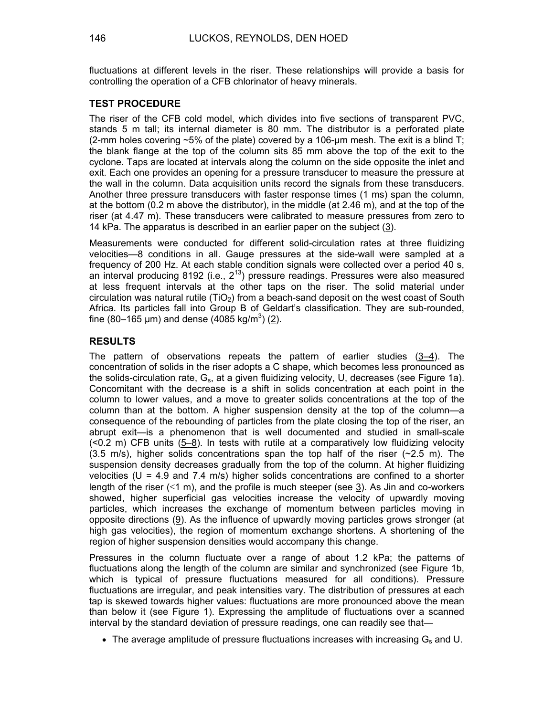fluctuations at different levels in the riser. These relationships will provide a basis for controlling the operation of a CFB chlorinator of heavy minerals.

#### **TEST PROCEDURE**

The riser of the CFB cold model, which divides into five sections of transparent PVC, stands 5 m tall; its internal diameter is 80 mm. The distributor is a perforated plate (2-mm holes covering  $\sim$ 5% of the plate) covered by a 106-um mesh. The exit is a blind T; the blank flange at the top of the column sits 85 mm above the top of the exit to the cyclone. Taps are located at intervals along the column on the side opposite the inlet and exit. Each one provides an opening for a pressure transducer to measure the pressure at the wall in the column. Data acquisition units record the signals from these transducers. Another three pressure transducers with faster response times (1 ms) span the column, at the bottom (0.2 m above the distributor), in the middle (at 2.46 m), and at the top of the riser (at 4.47 m). These transducers were calibrated to measure pressures from zero to 14 kPa. The apparatus is described in an earlier paper on the subject (3).

Measurements were conducted for different solid-circulation rates at three fluidizing velocities—8 conditions in all. Gauge pressures at the side-wall were sampled at a frequency of 200 Hz. At each stable condition signals were collected over a period 40 s, an interval producing 8192 (i.e.,  $2^{13}$ ) pressure readings. Pressures were also measured at less frequent intervals at the other taps on the riser. The solid material under circulation was natural rutile ( $TiO<sub>2</sub>$ ) from a beach-sand deposit on the west coast of South Africa. Its particles fall into Group B of Geldart's classification. They are sub-rounded, fine (80–165 µm) and dense (4085 kg/m<sup>3</sup>) (2).

### **RESULTS**

The pattern of observations repeats the pattern of earlier studies  $(3-4)$ . The concentration of solids in the riser adopts a C shape, which becomes less pronounced as the solids-circulation rate,  $G_s$ , at a given fluidizing velocity, U, decreases (see Figure 1a). Concomitant with the decrease is a shift in solids concentration at each point in the column to lower values, and a move to greater solids concentrations at the top of the column than at the bottom. A higher suspension density at the top of the column—a consequence of the rebounding of particles from the plate closing the top of the riser, an abrupt exit—is a phenomenon that is well documented and studied in small-scale (<0.2 m) CFB units (5–8). In tests with rutile at a comparatively low fluidizing velocity (3.5 m/s), higher solids concentrations span the top half of the riser  $(\sim 2.5 \text{ m})$ . The suspension density decreases gradually from the top of the column. At higher fluidizing velocities ( $U = 4.9$  and 7.4 m/s) higher solids concentrations are confined to a shorter length of the riser ( $\leq 1$  m), and the profile is much steeper (see 3). As Jin and co-workers showed, higher superficial gas velocities increase the velocity of upwardly moving particles, which increases the exchange of momentum between particles moving in opposite directions (9). As the influence of upwardly moving particles grows stronger (at high gas velocities), the region of momentum exchange shortens. A shortening of the region of higher suspension densities would accompany this change.

Pressures in the column fluctuate over a range of about 1.2 kPa; the patterns of fluctuations along the length of the column are similar and synchronized (see Figure 1b, which is typical of pressure fluctuations measured for all conditions). Pressure fluctuations are irregular, and peak intensities vary. The distribution of pressures at each tap is skewed towards higher values: fluctuations are more pronounced above the mean than below it (see Figure 1). Expressing the amplitude of fluctuations over a scanned interval by the standard deviation of pressure readings, one can readily see that—

• The average amplitude of pressure fluctuations increases with increasing  $G_s$  and U.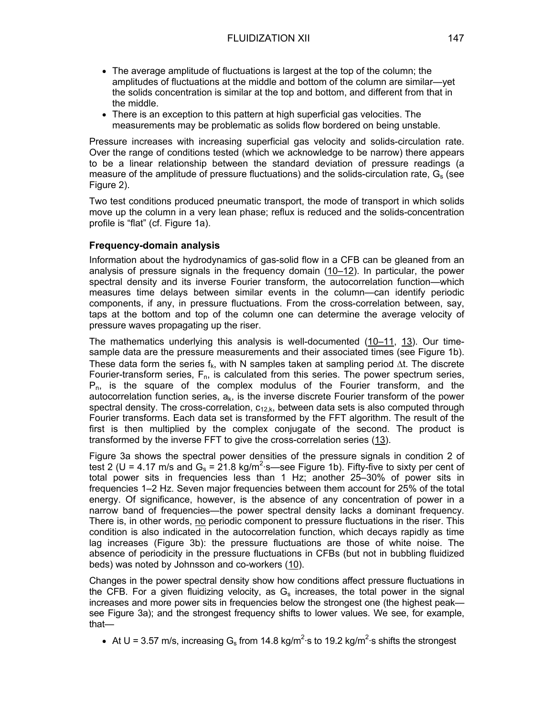- The average amplitude of fluctuations is largest at the top of the column; the amplitudes of fluctuations at the middle and bottom of the column are similar—yet the solids concentration is similar at the top and bottom, and different from that in the middle.
- There is an exception to this pattern at high superficial gas velocities. The measurements may be problematic as solids flow bordered on being unstable.

Pressure increases with increasing superficial gas velocity and solids-circulation rate. Over the range of conditions tested (which we acknowledge to be narrow) there appears to be a linear relationship between the standard deviation of pressure readings (a measure of the amplitude of pressure fluctuations) and the solids-circulation rate,  $G_s$  (see Figure 2).

Two test conditions produced pneumatic transport, the mode of transport in which solids move up the column in a very lean phase; reflux is reduced and the solids-concentration profile is "flat" (cf. Figure 1a).

### **Frequency-domain analysis**

Information about the hydrodynamics of gas-solid flow in a CFB can be gleaned from an analysis of pressure signals in the frequency domain (10–12). In particular, the power spectral density and its inverse Fourier transform, the autocorrelation function—which measures time delays between similar events in the column—can identify periodic components, if any, in pressure fluctuations. From the cross-correlation between, say, taps at the bottom and top of the column one can determine the average velocity of pressure waves propagating up the riser.

The mathematics underlying this analysis is well-documented (10–11, 13). Our timesample data are the pressure measurements and their associated times (see Figure 1b). These data form the series f<sub>k</sub>, with N samples taken at sampling period  $\Delta t$ . The discrete Fourier-transform series,  $F_n$ , is calculated from this series. The power spectrum series,  $P_n$ , is the square of the complex modulus of the Fourier transform, and the autocorrelation function series,  $a_k$ , is the inverse discrete Fourier transform of the power spectral density. The cross-correlation,  $c_{12,k}$ , between data sets is also computed through Fourier transforms. Each data set is transformed by the FFT algorithm. The result of the first is then multiplied by the complex conjugate of the second. The product is transformed by the inverse FFT to give the cross-correlation series (13).

Figure 3a shows the spectral power densities of the pressure signals in condition 2 of test 2 (U = 4.17 m/s and  $G_s = 21.8$  kg/m<sup>2</sup> s—see Figure 1b). Fifty-five to sixty per cent of total power sits in frequencies less than 1 Hz; another 25–30% of power sits in frequencies 1–2 Hz. Seven major frequencies between them account for 25% of the total energy. Of significance, however, is the absence of any concentration of power in a narrow band of frequencies—the power spectral density lacks a dominant frequency. There is, in other words, no periodic component to pressure fluctuations in the riser. This condition is also indicated in the autocorrelation function, which decays rapidly as time lag increases (Figure 3b): the pressure fluctuations are those of white noise. The absence of periodicity in the pressure fluctuations in CFBs (but not in bubbling fluidized beds) was noted by Johnsson and co-workers (10).

Changes in the power spectral density show how conditions affect pressure fluctuations in the CFB. For a given fluidizing velocity, as  $G_s$  increases, the total power in the signal increases and more power sits in frequencies below the strongest one (the highest peak see Figure 3a); and the strongest frequency shifts to lower values. We see, for example, that—

• At U = 3.57 m/s, increasing G<sub>s</sub> from 14.8 kg/m<sup>2</sup> s to 19.2 kg/m<sup>2</sup> s shifts the strongest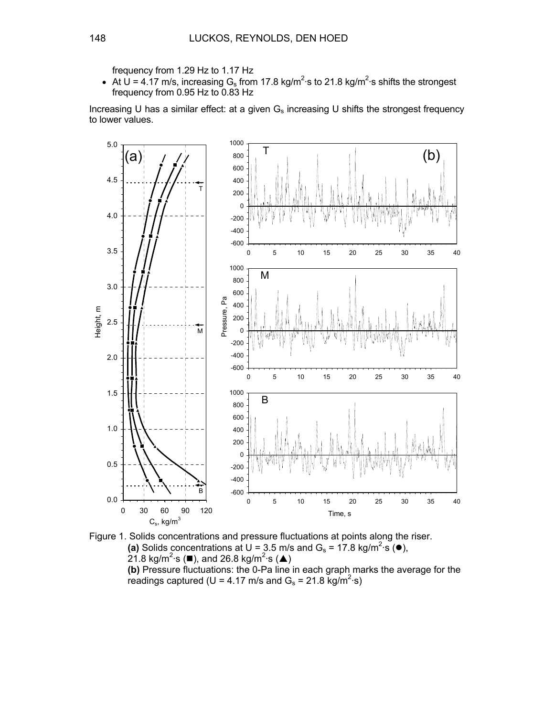frequency from 1.29 Hz to 1.17 Hz

• At U = 4.17 m/s, increasing G<sub>s</sub> from 17.8 kg/m<sup>2</sup> s to 21.8 kg/m<sup>2</sup> s shifts the strongest frequency from 0.95 Hz to 0.83 Hz

Increasing U has a similar effect: at a given  $G_s$  increasing U shifts the strongest frequency to lower values.



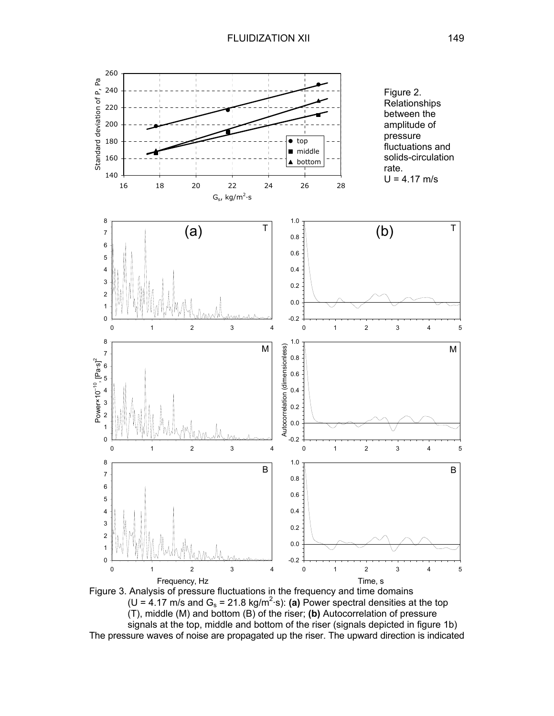

Figure 3. Analysis of pressure fluctuations in the frequency and time domains  $(U = 4.17 \text{ m/s}$  and  $G_s = 21.8 \text{ kg/m}^2 \text{ s}$ : (a) Power spectral densities at the top (T), middle (M) and bottom (B) of the riser; **(b)** Autocorrelation of pressure signals at the top, middle and bottom of the riser (signals depicted in figure 1b) The pressure waves of noise are propagated up the riser. The upward direction is indicated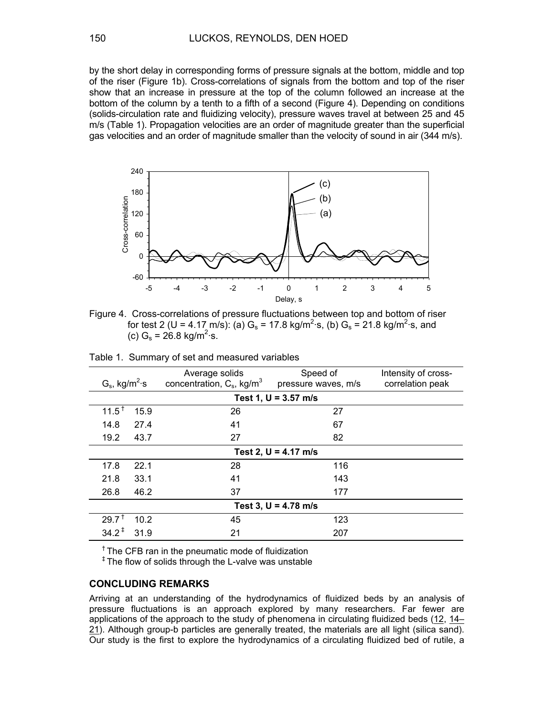by the short delay in corresponding forms of pressure signals at the bottom, middle and top of the riser (Figure 1b). Cross-correlations of signals from the bottom and top of the riser show that an increase in pressure at the top of the column followed an increase at the bottom of the column by a tenth to a fifth of a second (Figure 4). Depending on conditions (solids-circulation rate and fluidizing velocity), pressure waves travel at between 25 and 45 m/s (Table 1). Propagation velocities are an order of magnitude greater than the superficial gas velocities and an order of magnitude smaller than the velocity of sound in air (344 m/s).



Figure 4. Cross-correlations of pressure fluctuations between top and bottom of riser for test 2 (U = 4.17 m/s): (a)  $G_s$  = 17.8 kg/m<sup>2</sup>·s, (b)  $G_s$  = 21.8 kg/m<sup>2</sup>·s, and (c)  $G_s = 26.8 \text{ kg/m}^2 \text{ s}.$ 

| $G_s$ , kg/m <sup>2</sup> ·s | Average solids<br>concentration, $C_s$ , kg/m <sup>3</sup> | Speed of<br>pressure waves, m/s | Intensity of cross-<br>correlation peak |
|------------------------------|------------------------------------------------------------|---------------------------------|-----------------------------------------|
| Test 1, $U = 3.57$ m/s       |                                                            |                                 |                                         |
| $11.5^{\text{+}}$<br>15.9    | 26                                                         | 27                              |                                         |
| 14.8<br>27.4                 | 41                                                         | 67                              |                                         |
| 19.2<br>43.7                 | 27                                                         | 82                              |                                         |
| Test 2, $U = 4.17$ m/s       |                                                            |                                 |                                         |
| 22.1<br>17.8                 | 28                                                         | 116                             |                                         |
| 21.8<br>33.1                 | 41                                                         | 143                             |                                         |
| 46.2<br>26.8                 | 37                                                         | 177                             |                                         |
| Test 3, $U = 4.78$ m/s       |                                                            |                                 |                                         |
| $29.7^{\text{+}}$<br>10.2    | 45                                                         | 123                             |                                         |
| $34.2^+$<br>31.9             | 21                                                         | 207                             |                                         |

 $<sup>†</sup>$  The CFB ran in the pneumatic mode of fluidization</sup>

<sup>‡</sup> The flow of solids through the L-valve was unstable

#### **CONCLUDING REMARKS**

Arriving at an understanding of the hydrodynamics of fluidized beds by an analysis of pressure fluctuations is an approach explored by many researchers. Far fewer are applications of the approach to the study of phenomena in circulating fluidized beds (12, 14– 21). Although group-b particles are generally treated, the materials are all light (silica sand). Our study is the first to explore the hydrodynamics of a circulating fluidized bed of rutile, a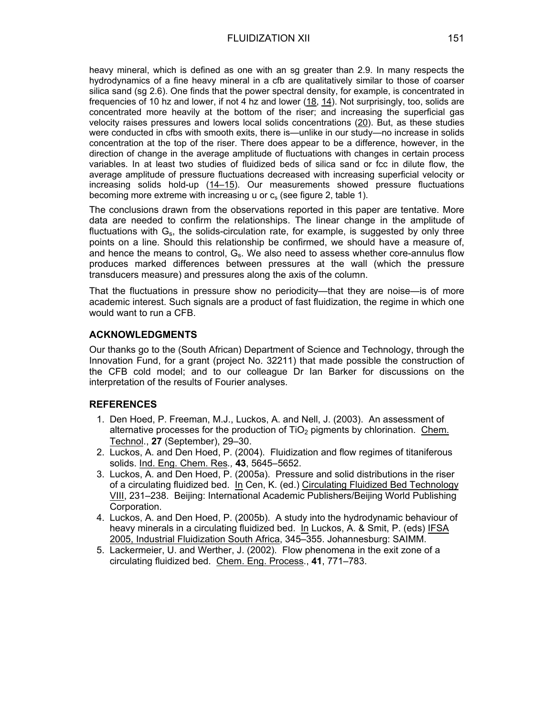heavy mineral, which is defined as one with an sg greater than 2.9. In many respects the hydrodynamics of a fine heavy mineral in a cfb are qualitatively similar to those of coarser silica sand (sg 2.6). One finds that the power spectral density, for example, is concentrated in frequencies of 10 hz and lower, if not 4 hz and lower (18, 14). Not surprisingly, too, solids are concentrated more heavily at the bottom of the riser; and increasing the superficial gas velocity raises pressures and lowers local solids concentrations (20). But, as these studies were conducted in cfbs with smooth exits, there is—unlike in our study—no increase in solids concentration at the top of the riser. There does appear to be a difference, however, in the direction of change in the average amplitude of fluctuations with changes in certain process variables. In at least two studies of fluidized beds of silica sand or fcc in dilute flow, the average amplitude of pressure fluctuations decreased with increasing superficial velocity or increasing solids hold-up (14–15). Our measurements showed pressure fluctuations becoming more extreme with increasing u or  $c_s$  (see figure 2, table 1).

The conclusions drawn from the observations reported in this paper are tentative. More data are needed to confirm the relationships. The linear change in the amplitude of fluctuations with  $G_s$ , the solids-circulation rate, for example, is suggested by only three points on a line. Should this relationship be confirmed, we should have a measure of, and hence the means to control,  $G_s$ . We also need to assess whether core-annulus flow produces marked differences between pressures at the wall (which the pressure transducers measure) and pressures along the axis of the column.

That the fluctuations in pressure show no periodicity—that they are noise—is of more academic interest. Such signals are a product of fast fluidization, the regime in which one would want to run a CFB.

### **ACKNOWLEDGMENTS**

Our thanks go to the (South African) Department of Science and Technology, through the Innovation Fund, for a grant (project No. 32211) that made possible the construction of the CFB cold model; and to our colleague Dr Ian Barker for discussions on the interpretation of the results of Fourier analyses.

#### **REFERENCES**

- 1. Den Hoed, P. Freeman, M.J., Luckos, A. and Nell, J. (2003). An assessment of alternative processes for the production of  $TiO<sub>2</sub>$  pigments by chlorination. Chem. Technol., **27** (September), 29–30.
- 2. Luckos, A. and Den Hoed, P. (2004). Fluidization and flow regimes of titaniferous solids. Ind. Eng. Chem. Res*.,* **43**, 5645–5652.
- 3. Luckos, A. and Den Hoed, P. (2005a). Pressure and solid distributions in the riser of a circulating fluidized bed. In Cen, K. (ed.) Circulating Fluidized Bed Technology VIII, 231–238. Beijing: International Academic Publishers/Beijing World Publishing Corporation.
- 4. Luckos, A. and Den Hoed, P. (2005b). A study into the hydrodynamic behaviour of heavy minerals in a circulating fluidized bed. In Luckos, A. & Smit, P. (eds) IFSA 2005, Industrial Fluidization South Africa, 345–355. Johannesburg: SAIMM.
- 5. Lackermeier, U. and Werther, J. (2002). Flow phenomena in the exit zone of a circulating fluidized bed. Chem. Eng. Process., **41**, 771–783.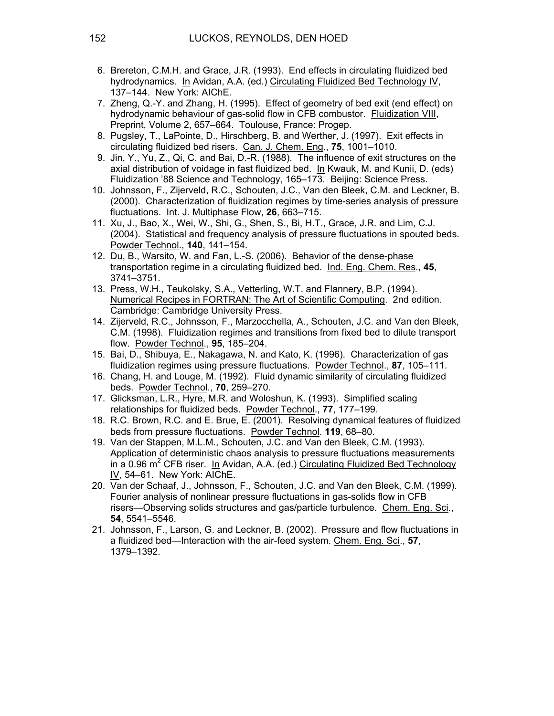- 6. Brereton, C.M.H. and Grace, J.R. (1993). End effects in circulating fluidized bed hydrodynamics. In Avidan, A.A. (ed.) Circulating Fluidized Bed Technology IV, 137–144. New York: AIChE.
- 7. Zheng, Q.-Y. and Zhang, H. (1995). Effect of geometry of bed exit (end effect) on hydrodynamic behaviour of gas-solid flow in CFB combustor. Fluidization VIII, Preprint, Volume 2, 657–664. Toulouse, France: Progep.
- 8. Pugsley, T., LaPointe, D., Hirschberg, B. and Werther, J. (1997). Exit effects in circulating fluidized bed risers. Can. J. Chem. Eng., **75**, 1001–1010.
- 9. Jin, Y., Yu, Z., Qi, C. and Bai, D.-R. (1988). The influence of exit structures on the axial distribution of voidage in fast fluidized bed. In Kwauk, M. and Kunii, D. (eds) Fluidization '88 Science and Technology, 165–173. Beijing: Science Press.
- 10. Johnsson, F., Zijerveld, R.C., Schouten, J.C., Van den Bleek, C.M. and Leckner, B. (2000). Characterization of fluidization regimes by time-series analysis of pressure fluctuations. Int. J. Multiphase Flow, **26**, 663–715.
- 11. Xu, J., Bao, X., Wei, W., Shi, G., Shen, S., Bi, H.T., Grace, J.R. and Lim, C.J. (2004). Statistical and frequency analysis of pressure fluctuations in spouted beds. Powder Technol., **140**, 141–154.
- 12. Du, B., Warsito, W. and Fan, L.-S. (2006). Behavior of the dense-phase transportation regime in a circulating fluidized bed. Ind. Eng. Chem. Res., **45**, 3741–3751.
- 13. Press, W.H., Teukolsky, S.A., Vetterling, W.T. and Flannery, B.P. (1994). Numerical Recipes in FORTRAN: The Art of Scientific Computing. 2nd edition. Cambridge: Cambridge University Press.
- 14. Zijerveld, R.C., Johnsson, F., Marzocchella, A., Schouten, J.C. and Van den Bleek, C.M. (1998). Fluidization regimes and transitions from fixed bed to dilute transport flow. Powder Technol., **95**, 185–204.
- 15. Bai, D., Shibuya, E., Nakagawa, N. and Kato, K. (1996). Characterization of gas fluidization regimes using pressure fluctuations. Powder Technol., **87**, 105–111.
- 16. Chang, H. and Louge, M. (1992). Fluid dynamic similarity of circulating fluidized beds. Powder Technol., **70**, 259–270.
- 17. Glicksman, L.R., Hyre, M.R. and Woloshun, K. (1993). Simplified scaling relationships for fluidized beds. Powder Technol., **77**, 177–199.
- 18. R.C. Brown, R.C. and E. Brue, E. (2001). Resolving dynamical features of fluidized beds from pressure fluctuations. Powder Technol. **119**, 68–80.
- 19. Van der Stappen, M.L.M., Schouten, J.C. and Van den Bleek, C.M. (1993). Application of deterministic chaos analysis to pressure fluctuations measurements in a 0.96 m<sup>2</sup> CFB riser. In Avidan, A.A. (ed.) Circulating Fluidized Bed Technology IV, 54–61. New York: AIChE.
- 20. Van der Schaaf, J., Johnsson, F., Schouten, J.C. and Van den Bleek, C.M. (1999). Fourier analysis of nonlinear pressure fluctuations in gas-solids flow in CFB risers—Observing solids structures and gas/particle turbulence. Chem. Eng. Sci., **54**, 5541–5546.
- 21. Johnsson, F., Larson, G. and Leckner, B. (2002). Pressure and flow fluctuations in a fluidized bed—Interaction with the air-feed system. Chem. Eng. Sci., **57**, 1379–1392.